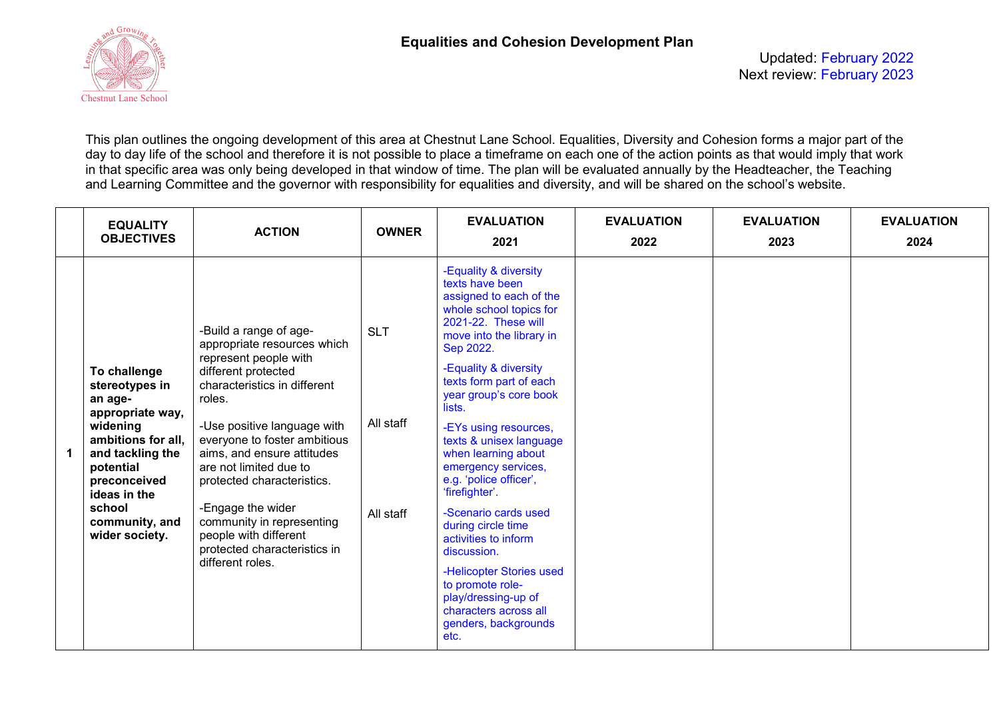

Updated: February 2022 Next review: February 2023

This plan outlines the ongoing development of this area at Chestnut Lane School. Equalities, Diversity and Cohesion forms a major part of the day to day life of the school and therefore it is not possible to place a timeframe on each one of the action points as that would imply that work in that specific area was only being developed in that window of time. The plan will be evaluated annually by the Headteacher, the Teaching and Learning Committee and the governor with responsibility for equalities and diversity, and will be shared on the school's website.

| <b>EQUALITY</b><br><b>OBJECTIVES</b>                                                                                                                                                                           | <b>ACTION</b>                                                                                                                                                                                                                                                                                                                                                                                                                       | <b>OWNER</b>                         | <b>EVALUATION</b><br>2021                                                                                                                                                                                                                                                                                                                                                                                                                                                                                                                                                                                                 | <b>EVALUATION</b><br>2022 | <b>EVALUATION</b><br>2023 | <b>EVALUATION</b><br>2024 |
|----------------------------------------------------------------------------------------------------------------------------------------------------------------------------------------------------------------|-------------------------------------------------------------------------------------------------------------------------------------------------------------------------------------------------------------------------------------------------------------------------------------------------------------------------------------------------------------------------------------------------------------------------------------|--------------------------------------|---------------------------------------------------------------------------------------------------------------------------------------------------------------------------------------------------------------------------------------------------------------------------------------------------------------------------------------------------------------------------------------------------------------------------------------------------------------------------------------------------------------------------------------------------------------------------------------------------------------------------|---------------------------|---------------------------|---------------------------|
| To challenge<br>stereotypes in<br>an age-<br>appropriate way,<br>widening<br>ambitions for all.<br>and tackling the<br>potential<br>preconceived<br>ideas in the<br>school<br>community, and<br>wider society. | -Build a range of age-<br>appropriate resources which<br>represent people with<br>different protected<br>characteristics in different<br>roles.<br>-Use positive language with<br>everyone to foster ambitious<br>aims, and ensure attitudes<br>are not limited due to<br>protected characteristics.<br>-Engage the wider<br>community in representing<br>people with different<br>protected characteristics in<br>different roles. | <b>SLT</b><br>All staff<br>All staff | -Equality & diversity<br>texts have been<br>assigned to each of the<br>whole school topics for<br>2021-22. These will<br>move into the library in<br>Sep 2022.<br>-Equality & diversity<br>texts form part of each<br>year group's core book<br>lists.<br>-EYs using resources,<br>texts & unisex language<br>when learning about<br>emergency services,<br>e.g. 'police officer',<br>'firefighter'.<br>-Scenario cards used<br>during circle time<br>activities to inform<br>discussion.<br>-Helicopter Stories used<br>to promote role-<br>play/dressing-up of<br>characters across all<br>genders, backgrounds<br>etc. |                           |                           |                           |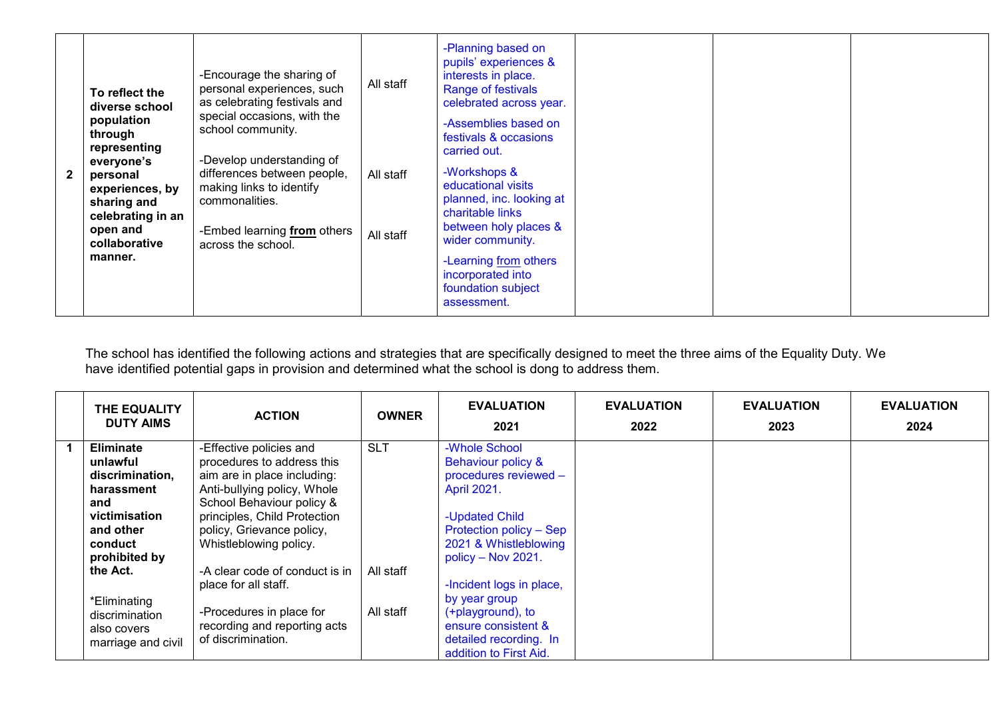| $\mathbf{2}$ | To reflect the<br>diverse school<br>population<br>through<br>representing<br>everyone's<br>personal<br>experiences, by<br>sharing and<br>celebrating in an<br>open and<br>collaborative<br>manner. | -Encourage the sharing of<br>personal experiences, such<br>as celebrating festivals and<br>special occasions, with the<br>school community.<br>-Develop understanding of<br>differences between people,<br>making links to identify<br>commonalities.<br>-Embed learning from others<br>across the school. | All staff<br>All staff<br>All staff | -Planning based on<br>pupils' experiences &<br>interests in place.<br><b>Range of festivals</b><br>celebrated across year.<br>-Assemblies based on<br>festivals & occasions<br>carried out.<br>-Workshops &<br>educational visits<br>planned, inc. looking at<br>charitable links<br>between holy places &<br>wider community.<br>-Learning from others<br>incorporated into |  |  |
|--------------|----------------------------------------------------------------------------------------------------------------------------------------------------------------------------------------------------|------------------------------------------------------------------------------------------------------------------------------------------------------------------------------------------------------------------------------------------------------------------------------------------------------------|-------------------------------------|------------------------------------------------------------------------------------------------------------------------------------------------------------------------------------------------------------------------------------------------------------------------------------------------------------------------------------------------------------------------------|--|--|
|              |                                                                                                                                                                                                    |                                                                                                                                                                                                                                                                                                            |                                     | foundation subject<br>assessment.                                                                                                                                                                                                                                                                                                                                            |  |  |

The school has identified the following actions and strategies that are specifically designed to meet the three aims of the Equality Duty. We have identified potential gaps in provision and determined what the school is dong to address them.

| THE EQUALITY<br><b>DUTY AIMS</b> | <b>ACTION</b>                  | <b>OWNER</b> | <b>EVALUATION</b><br>2021 | <b>EVALUATION</b><br>2022 | <b>EVALUATION</b><br>2023 | <b>EVALUATION</b><br>2024 |
|----------------------------------|--------------------------------|--------------|---------------------------|---------------------------|---------------------------|---------------------------|
| <b>Eliminate</b>                 | -Effective policies and        | <b>SLT</b>   | -Whole School             |                           |                           |                           |
| unlawful                         | procedures to address this     |              | Behaviour policy &        |                           |                           |                           |
| discrimination,                  | aim are in place including:    |              | procedures reviewed -     |                           |                           |                           |
| harassment                       | Anti-bullying policy, Whole    |              | <b>April 2021.</b>        |                           |                           |                           |
| and                              | School Behaviour policy &      |              |                           |                           |                           |                           |
| victimisation                    | principles, Child Protection   |              | -Updated Child            |                           |                           |                           |
| and other                        | policy, Grievance policy,      |              | Protection policy - Sep   |                           |                           |                           |
| conduct                          | Whistleblowing policy.         |              | 2021 & Whistleblowing     |                           |                           |                           |
| prohibited by                    |                                |              | policy – Nov 2021.        |                           |                           |                           |
| the Act.                         | -A clear code of conduct is in | All staff    |                           |                           |                           |                           |
|                                  | place for all staff.           |              | -Incident logs in place,  |                           |                           |                           |
| *Eliminating                     |                                |              | by year group             |                           |                           |                           |
| discrimination                   | -Procedures in place for       | All staff    | (+playground), to         |                           |                           |                           |
| also covers                      | recording and reporting acts   |              | ensure consistent &       |                           |                           |                           |
| marriage and civil               | of discrimination.             |              | detailed recording. In    |                           |                           |                           |
|                                  |                                |              | addition to First Aid.    |                           |                           |                           |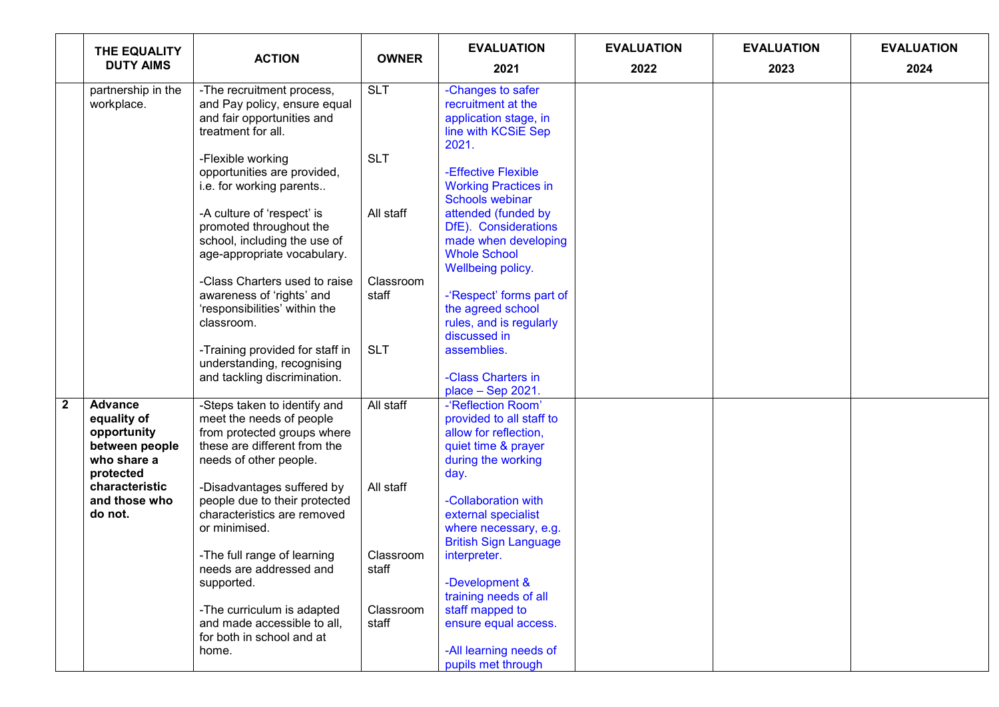|              | THE EQUALITY                                                                               | <b>ACTION</b>                                                                                                                                     | <b>OWNER</b>       | <b>EVALUATION</b>                                                                                                            | <b>EVALUATION</b> | <b>EVALUATION</b> | <b>EVALUATION</b> |
|--------------|--------------------------------------------------------------------------------------------|---------------------------------------------------------------------------------------------------------------------------------------------------|--------------------|------------------------------------------------------------------------------------------------------------------------------|-------------------|-------------------|-------------------|
|              | <b>DUTY AIMS</b>                                                                           |                                                                                                                                                   |                    | 2021                                                                                                                         | 2022              | 2023              | 2024              |
|              | partnership in the<br>workplace.                                                           | -The recruitment process,<br>and Pay policy, ensure equal<br>and fair opportunities and<br>treatment for all.                                     | <b>SLT</b>         | -Changes to safer<br>recruitment at the<br>application stage, in<br>line with KCSiE Sep<br>2021.                             |                   |                   |                   |
|              |                                                                                            | -Flexible working<br>opportunities are provided,<br>i.e. for working parents                                                                      | <b>SLT</b>         | -Effective Flexible<br><b>Working Practices in</b><br><b>Schools webinar</b>                                                 |                   |                   |                   |
|              |                                                                                            | -A culture of 'respect' is<br>promoted throughout the<br>school, including the use of<br>age-appropriate vocabulary.                              | All staff          | attended (funded by<br>DfE). Considerations<br>made when developing<br><b>Whole School</b>                                   |                   |                   |                   |
|              |                                                                                            | -Class Charters used to raise<br>awareness of 'rights' and<br>'responsibilities' within the<br>classroom.                                         | Classroom<br>staff | Wellbeing policy.<br>-'Respect' forms part of<br>the agreed school<br>rules, and is regularly<br>discussed in                |                   |                   |                   |
|              |                                                                                            | -Training provided for staff in<br>understanding, recognising<br>and tackling discrimination.                                                     | <b>SLT</b>         | assemblies.<br>-Class Charters in<br>place - Sep 2021.                                                                       |                   |                   |                   |
| $\mathbf{2}$ | <b>Advance</b><br>equality of<br>opportunity<br>between people<br>who share a<br>protected | -Steps taken to identify and<br>meet the needs of people<br>from protected groups where<br>these are different from the<br>needs of other people. | All staff          | -'Reflection Room'<br>provided to all staff to<br>allow for reflection,<br>quiet time & prayer<br>during the working<br>day. |                   |                   |                   |
|              | characteristic<br>and those who<br>do not.                                                 | -Disadvantages suffered by<br>people due to their protected<br>characteristics are removed<br>or minimised.                                       | All staff          | -Collaboration with<br>external specialist<br>where necessary, e.g.<br><b>British Sign Language</b>                          |                   |                   |                   |
|              |                                                                                            | -The full range of learning<br>needs are addressed and<br>supported.                                                                              | Classroom<br>staff | interpreter.<br>-Development &<br>training needs of all                                                                      |                   |                   |                   |
|              |                                                                                            | -The curriculum is adapted<br>and made accessible to all,<br>for both in school and at<br>home.                                                   | Classroom<br>staff | staff mapped to<br>ensure equal access.<br>-All learning needs of<br>pupils met through                                      |                   |                   |                   |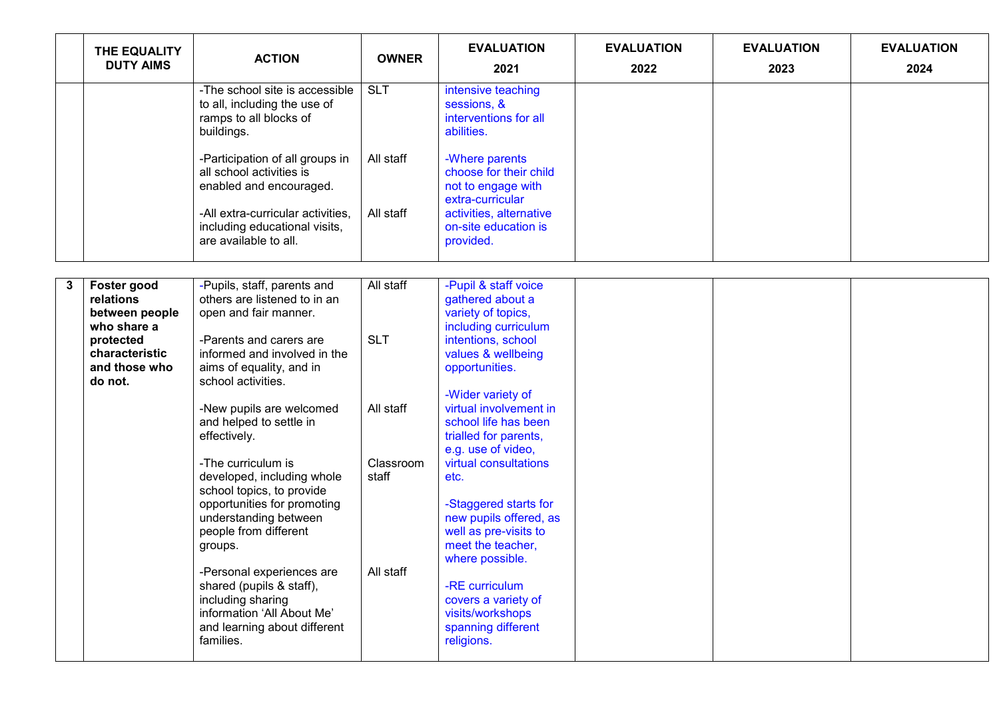|   | THE EQUALITY<br><b>DUTY AIMS</b>                                       | <b>ACTION</b>                                                                                                                                         | <b>OWNER</b>       | <b>EVALUATION</b><br>2021                                                                     | <b>EVALUATION</b><br>2022 | <b>EVALUATION</b><br>2023 | <b>EVALUATION</b><br>2024 |
|---|------------------------------------------------------------------------|-------------------------------------------------------------------------------------------------------------------------------------------------------|--------------------|-----------------------------------------------------------------------------------------------|---------------------------|---------------------------|---------------------------|
|   |                                                                        | -The school site is accessible<br>to all, including the use of<br>ramps to all blocks of<br>buildings.                                                | <b>SLT</b>         | intensive teaching<br>sessions, &<br>interventions for all<br>abilities.                      |                           |                           |                           |
|   |                                                                        | -Participation of all groups in<br>all school activities is<br>enabled and encouraged.                                                                | All staff          | -Where parents<br>choose for their child<br>not to engage with<br>extra-curricular            |                           |                           |                           |
|   |                                                                        | -All extra-curricular activities,<br>including educational visits,<br>are available to all.                                                           | All staff          | activities, alternative<br>on-site education is<br>provided.                                  |                           |                           |                           |
|   |                                                                        |                                                                                                                                                       |                    |                                                                                               |                           |                           |                           |
| 3 | Foster good<br>relations<br>between people                             | -Pupils, staff, parents and<br>others are listened to in an<br>open and fair manner.                                                                  | All staff          | -Pupil & staff voice<br>gathered about a<br>variety of topics,                                |                           |                           |                           |
|   | who share a<br>protected<br>characteristic<br>and those who<br>do not. | -Parents and carers are<br>informed and involved in the<br>aims of equality, and in<br>school activities.                                             | <b>SLT</b>         | including curriculum<br>intentions, school<br>values & wellbeing<br>opportunities.            |                           |                           |                           |
|   |                                                                        | -New pupils are welcomed<br>and helped to settle in<br>effectively.                                                                                   | All staff          | -Wider variety of<br>virtual involvement in<br>school life has been<br>trialled for parents,  |                           |                           |                           |
|   |                                                                        | -The curriculum is<br>developed, including whole<br>school topics, to provide<br>opportunities for promoting                                          | Classroom<br>staff | e.g. use of video,<br>virtual consultations<br>etc.<br>-Staggered starts for                  |                           |                           |                           |
|   |                                                                        | understanding between<br>people from different<br>groups.                                                                                             |                    | new pupils offered, as<br>well as pre-visits to<br>meet the teacher,<br>where possible.       |                           |                           |                           |
|   |                                                                        | -Personal experiences are<br>shared (pupils & staff),<br>including sharing<br>information 'All About Me'<br>and learning about different<br>families. | All staff          | -RE curriculum<br>covers a variety of<br>visits/workshops<br>spanning different<br>religions. |                           |                           |                           |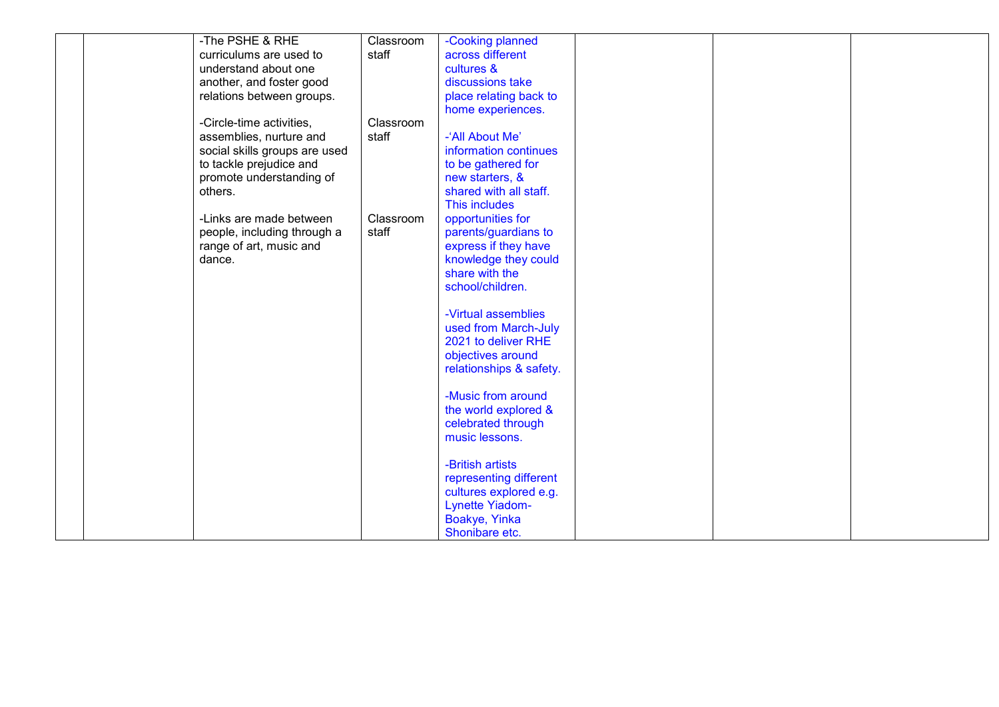| -The PSHE & RHE               | Classroom | -Cooking planned        |  |  |
|-------------------------------|-----------|-------------------------|--|--|
| curriculums are used to       | staff     | across different        |  |  |
| understand about one          |           | cultures &              |  |  |
| another, and foster good      |           | discussions take        |  |  |
| relations between groups.     |           | place relating back to  |  |  |
|                               |           | home experiences.       |  |  |
| -Circle-time activities,      | Classroom |                         |  |  |
| assemblies, nurture and       | staff     | -'All About Me'         |  |  |
| social skills groups are used |           | information continues   |  |  |
| to tackle prejudice and       |           | to be gathered for      |  |  |
| promote understanding of      |           | new starters, &         |  |  |
| others.                       |           | shared with all staff.  |  |  |
|                               |           | This includes           |  |  |
| -Links are made between       | Classroom | opportunities for       |  |  |
| people, including through a   | staff     | parents/guardians to    |  |  |
| range of art, music and       |           | express if they have    |  |  |
| dance.                        |           | knowledge they could    |  |  |
|                               |           | share with the          |  |  |
|                               |           | school/children.        |  |  |
|                               |           |                         |  |  |
|                               |           | -Virtual assemblies     |  |  |
|                               |           | used from March-July    |  |  |
|                               |           | 2021 to deliver RHE     |  |  |
|                               |           | objectives around       |  |  |
|                               |           | relationships & safety. |  |  |
|                               |           |                         |  |  |
|                               |           | -Music from around      |  |  |
|                               |           | the world explored &    |  |  |
|                               |           | celebrated through      |  |  |
|                               |           | music lessons.          |  |  |
|                               |           | -British artists        |  |  |
|                               |           |                         |  |  |
|                               |           | representing different  |  |  |
|                               |           | cultures explored e.g.  |  |  |
|                               |           | <b>Lynette Yiadom-</b>  |  |  |
|                               |           | Boakye, Yinka           |  |  |
|                               |           | Shonibare etc.          |  |  |